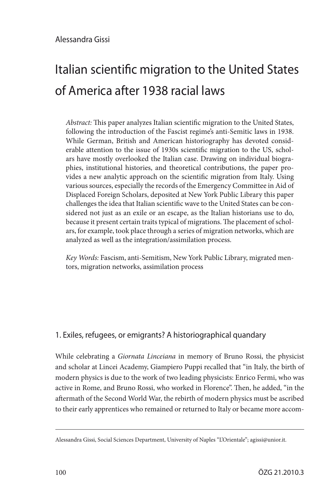# Italian scientific migration to the United States of America after 1938 racial laws

*Abstract:* This paper analyzes Italian scientific migration to the United States, following the introduction of the Fascist regime's anti-Semitic laws in 1938. While German, British and American historiography has devoted considerable attention to the issue of 1930s scientific migration to the US, scholars have mostly overlooked the Italian case. Drawing on individual biographies, institutional histories, and theoretical contributions, the paper provides a new analytic approach on the scientific migration from Italy. Using various sources, especially the records of the Emergency Committee in Aid of Displaced Foreign Scholars, deposited at New York Public Library this paper challenges the idea that Italian scientific wave to the United States can be considered not just as an exile or an escape, as the Italian historians use to do, because it present certain traits typical of migrations. The placement of scholars, for example, took place through a series of migration networks, which are analyzed as well as the integration/assimilation process.

*Key Words:* Fascism, anti-Semitism, New York Public Library, migrated mentors, migration networks, assimilation process

## 1. Exiles, refugees, or emigrants? A historiographical quandary

While celebrating a *Giornata Linceiana* in memory of Bruno Rossi, the physicist and scholar at Lincei Academy, Giampiero Puppi recalled that "in Italy, the birth of modern physics is due to the work of two leading physicists: Enrico Fermi, who was active in Rome, and Bruno Rossi, who worked in Florence". Then, he added, "in the aftermath of the Second World War, the rebirth of modern physics must be ascribed to their early apprentices who remained or returned to Italy or became more accom-

Alessandra Gissi, Social Sciences Department, University of Naples "L'Orientale"; agissi@unior.it.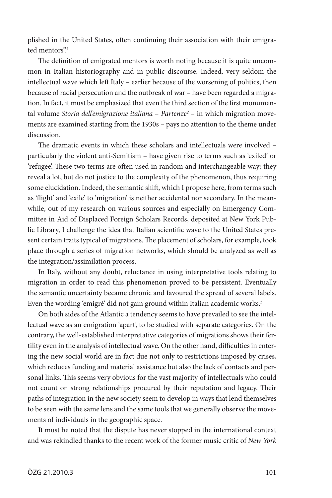plished in the United States, often continuing their association with their emigrated mentors".<sup>1</sup>

The definition of emigrated mentors is worth noting because it is quite uncommon in Italian historiography and in public discourse. Indeed, very seldom the intellectual wave which left Italy – earlier because of the worsening of politics, then because of racial persecution and the outbreak of war – have been regarded a migration. In fact, it must be emphasized that even the third section of the first monumental volume *Storia dell'emigrazione italiana* – *Partenze2* – in which migration movements are examined starting from the 1930s – pays no attention to the theme under discussion.

The dramatic events in which these scholars and intellectuals were involved – particularly the violent anti-Semitism – have given rise to terms such as 'exiled' or 'refugee'. These two terms are often used in random and interchangeable way; they reveal a lot, but do not justice to the complexity of the phenomenon, thus requiring some elucidation. Indeed, the semantic shift, which I propose here, from terms such as 'flight' and 'exile' to 'migration' is neither accidental nor secondary. In the meanwhile, out of my research on various sources and especially on Emergency Committee in Aid of Displaced Foreign Scholars Records, deposited at New York Public Library, I challenge the idea that Italian scientific wave to the United States present certain traits typical of migrations. The placement of scholars, for example, took place through a series of migration networks, which should be analyzed as well as the integration/assimilation process.

In Italy, without any doubt, reluctance in using interpretative tools relating to migration in order to read this phenomenon proved to be persistent. Eventually the semantic uncertainty became chronic and favoured the spread of several labels. Even the wording 'emigré' did not gain ground within Italian academic works.<sup>3</sup>

On both sides of the Atlantic a tendency seems to have prevailed to see the intellectual wave as an emigration 'apart', to be studied with separate categories. On the contrary, the well-established interpretative categories of migrations shows their fertility even in the analysis of intellectual wave. On the other hand, difficulties in entering the new social world are in fact due not only to restrictions imposed by crises, which reduces funding and material assistance but also the lack of contacts and personal links. This seems very obvious for the vast majority of intellectuals who could not count on strong relationships procured by their reputation and legacy. Their paths of integration in the new society seem to develop in ways that lend themselves to be seen with the same lens and the same tools that we generally observe the movements of individuals in the geographic space.

It must be noted that the dispute has never stopped in the international context and was rekindled thanks to the recent work of the former music critic of *New York*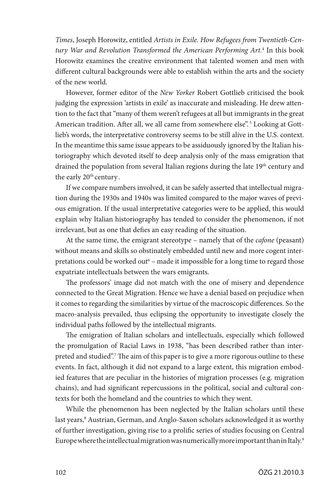*Times*, Joseph Horowitz, entitled *Artists in Exile. How Refugees from Twentieth-Century War and Revolution Transformed the American Performing Art.*<sup>4</sup> In this book Horowitz examines the creative environment that talented women and men with different cultural backgrounds were able to establish within the arts and the society of the new world.

However, former editor of the *New Yorker* Robert Gottlieb criticised the book judging the expression 'artists in exile' as inaccurate and misleading. He drew attention to the fact that "many of them weren't refugees at all but immigrants in the great American tradition. After all, we all came from somewhere else".<sup>5</sup> Looking at Gottlieb's words, the interpretative controversy seems to be still alive in the U.S. context. In the meantime this same issue appears to be assiduously ignored by the Italian historiography which devoted itself to deep analysis only of the mass emigration that drained the population from several Italian regions during the late 19<sup>th</sup> century and the early 20<sup>th</sup> century.

If we compare numbers involved, it can be safely asserted that intellectual migration during the 1930s and 1940s was limited compared to the major waves of previous emigration. If the usual interpretative categories were to be applied, this would explain why Italian historiography has tended to consider the phenomenon, if not irrelevant, but as one that defies an easy reading of the situation.

At the same time, the emigrant stereotype – namely that of the *cafone* (peasant) without means and skills so obstinately embedded until new and more cogent interpretations could be worked out<sup>6</sup> – made it impossible for a long time to regard those expatriate intellectuals between the wars emigrants.

The professors' image did not match with the one of misery and dependence connected to the Great Migration. Hence we have a denial based on prejudice when it comes to regarding the similarities by virtue of the macroscopic differences. So the macro-analysis prevailed, thus eclipsing the opportunity to investigate closely the individual paths followed by the intellectual migrants.

The emigration of Italian scholars and intellectuals, especially which followed the promulgation of Racial Laws in 1938, "has been described rather than interpreted and studied".7 The aim of this paper is to give a more rigorous outline to these events. In fact, although it did not expand to a large extent, this migration embodied features that are peculiar in the histories of migration processes (e.g. migration chains), and had significant repercussions in the political, social and cultural contexts for both the homeland and the countries to which they went.

While the phenomenon has been neglected by the Italian scholars until these last years, $^8$  Austrian, German, and Anglo-Saxon scholars acknowledged it as worthy of further investigation, giving rise to a prolific series of studies focusing on Central Europe where the intellectual migration was numerically more important than in Italy.9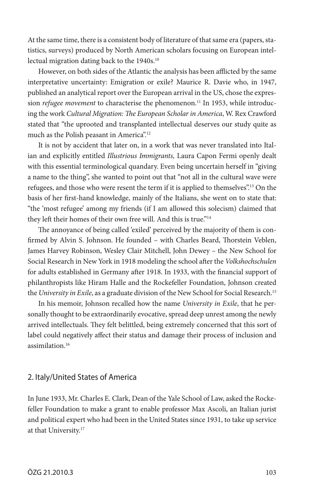At the same time, there is a consistent body of literature of that same era (papers, statistics, surveys) produced by North American scholars focusing on European intellectual migration dating back to the 1940s.<sup>10</sup>

However, on both sides of the Atlantic the analysis has been afflicted by the same interpretative uncertainty: Emigration or exile? Maurice R. Davie who, in 1947, published an analytical report over the European arrival in the US, chose the expression *refugee movement* to characterise the phenomenon.<sup>11</sup> In 1953, while introducing the work *Cultural Migration: The European Scholar in America*, W. Rex Crawford stated that "the uprooted and transplanted intellectual deserves our study quite as much as the Polish peasant in America".<sup>12</sup>

It is not by accident that later on, in a work that was never translated into Italian and explicitly entitled *Illustrious Immigrants,* Laura Capon Fermi openly dealt with this essential terminological quandary. Even being uncertain herself in "giving a name to the thing", she wanted to point out that "not all in the cultural wave were refugees, and those who were resent the term if it is applied to themselves".13 On the basis of her first-hand knowledge, mainly of the Italians, she went on to state that: "the 'most refugee' among my friends (if I am allowed this solecism) claimed that they left their homes of their own free will. And this is true."<sup>14</sup>

The annoyance of being called 'exiled' perceived by the majority of them is confirmed by Alvin S. Johnson. He founded – with Charles Beard, Thorstein Veblen, James Harvey Robinson, Wesley Clair Mitchell, John Dewey – the New School for Social Research in New York in 1918 modeling the school after the *Volkshochschulen* for adults established in Germany after 1918. In 1933, with the financial support of philanthropists like Hiram Halle and the Rockefeller Foundation, Johnson created the *University in Exile*, as a graduate division of the New School for Social Research.15

In his memoir, Johnson recalled how the name *University in Exile*, that he personally thought to be extraordinarily evocative, spread deep unrest among the newly arrived intellectuals. They felt belittled, being extremely concerned that this sort of label could negatively affect their status and damage their process of inclusion and assimilation.16

### 2. Italy/United States of America

In June 1933, Mr. Charles E. Clark, Dean of the Yale School of Law, asked the Rockefeller Foundation to make a grant to enable professor Max Ascoli, an Italian jurist and political expert who had been in the United States since 1931, to take up service at that University.17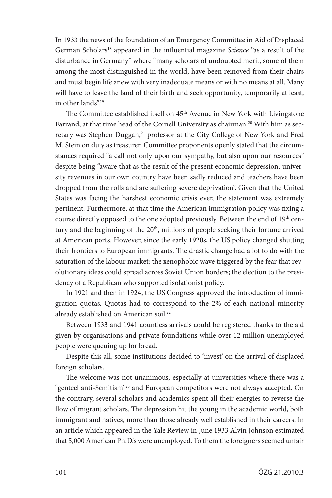In 1933 the news of the foundation of an Emergency Committee in Aid of Displaced German Scholars18 appeared in the influential magazine *Science* "as a result of the disturbance in Germany" where "many scholars of undoubted merit, some of them among the most distinguished in the world, have been removed from their chairs and must begin life anew with very inadequate means or with no means at all. Many will have to leave the land of their birth and seek opportunity, temporarily at least, in other lands".19

The Committee established itself on 45<sup>th</sup> Avenue in New York with Livingstone Farrand, at that time head of the Cornell University as chairman.<sup>20</sup> With him as secretary was Stephen Duggan,<sup>21</sup> professor at the City College of New York and Fred M. Stein on duty as treasurer. Committee proponents openly stated that the circumstances required "a call not only upon our sympathy, but also upon our resources" despite being "aware that as the result of the present economic depression, university revenues in our own country have been sadly reduced and teachers have been dropped from the rolls and are suffering severe deprivation". Given that the United States was facing the harshest economic crisis ever, the statement was extremely pertinent. Furthermore, at that time the American immigration policy was fixing a course directly opposed to the one adopted previously. Between the end of 19<sup>th</sup> century and the beginning of the 20<sup>th</sup>, millions of people seeking their fortune arrived at American ports. However, since the early 1920s, the US policy changed shutting their frontiers to European immigrants. The drastic change had a lot to do with the saturation of the labour market; the xenophobic wave triggered by the fear that revolutionary ideas could spread across Soviet Union borders; the election to the presidency of a Republican who supported isolationist policy.

In 1921 and then in 1924, the US Congress approved the introduction of immigration quotas. Quotas had to correspond to the 2% of each national minority already established on American soil.22

Between 1933 and 1941 countless arrivals could be registered thanks to the aid given by organisations and private foundations while over 12 million unemployed people were queuing up for bread.

Despite this all, some institutions decided to 'invest' on the arrival of displaced foreign scholars.

The welcome was not unanimous, especially at universities where there was a "genteel anti-Semitism"23 and European competitors were not always accepted. On the contrary, several scholars and academics spent all their energies to reverse the flow of migrant scholars. The depression hit the young in the academic world, both immigrant and natives, more than those already well established in their careers. In an article which appeared in the Yale Review in June 1933 Alvin Johnson estimated that 5,000 American Ph.D.'s were unemployed. To them the foreigners seemed unfair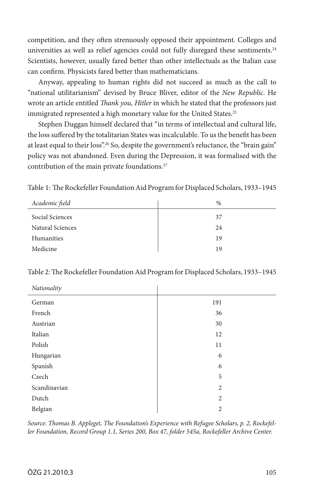competition, and they often strenuously opposed their appointment. Colleges and universities as well as relief agencies could not fully disregard these sentiments.<sup>24</sup> Scientists, however, usually fared better than other intellectuals as the Italian case can confirm. Physicists fared better than mathematicians.

Anyway, appealing to human rights did not succeed as much as the call to "national utilitarianism" devised by Bruce Bliver, editor of the *New Republic*. He wrote an article entitled *Thank you, Hitler* in which he stated that the professors just immigrated represented a high monetary value for the United States.<sup>25</sup>

Stephen Duggan himself declared that "in terms of intellectual and cultural life, the loss suffered by the totalitarian States was incalculable. To us the benefit has been at least equal to their loss".<sup>26</sup> So, despite the government's reluctance, the "brain gain" policy was not abandoned. Even during the Depression, it was formalised with the contribution of the main private foundations.<sup>27</sup>

Table 1: The Rockefeller Foundation Aid Program for Displaced Scholars, 1933–1945

| Academic field   | $\%$ |
|------------------|------|
| Social Sciences  | 37   |
| Natural Sciences | 24   |
| Humanities       | 19   |
| Medicine         | 19   |

| Nationality  |                |  |
|--------------|----------------|--|
| German       | 191            |  |
| French       | 36             |  |
| Austrian     | 30             |  |
| Italian      | 12             |  |
| Polish       | 11             |  |
| Hungarian    | 6              |  |
| Spanish      | 6              |  |
| Czech        | 5              |  |
| Scandinavian | $\overline{2}$ |  |
| Dutch        | $\overline{2}$ |  |
| Belgian      | $\overline{2}$ |  |

*Source: Thomas B. Appleget, The Foundation's Experience with Refugee Scholars, p. 2, Rockefeller Foundation, Record Group 1.1, Series 200, Box 47, folder 545a, Rockefeller Archive Center.*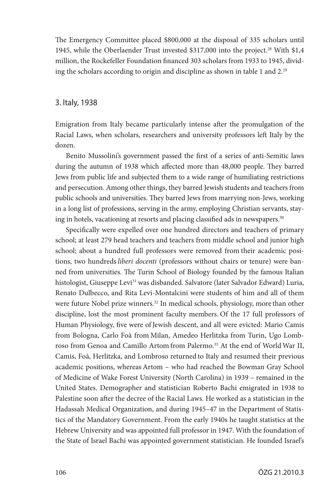The Emergency Committee placed \$800,000 at the disposal of 335 scholars until 1945, while the Oberlaender Trust invested \$317,000 into the project.28 With \$1,4 million, the Rockefeller Foundation financed 303 scholars from 1933 to 1945, dividing the scholars according to origin and discipline as shown in table 1 and 2.29

#### 3. Italy, 1938

Emigration from Italy became particularly intense after the promulgation of the Racial Laws, when scholars, researchers and university professors left Italy by the dozen.

Benito Mussolini's government passed the first of a series of anti-Semitic laws during the autumn of 1938 which affected more than 48,000 people. They barred Jews from public life and subjected them to a wide range of humiliating restrictions and persecution. Among other things, they barred Jewish students and teachers from public schools and universities. They barred Jews from marrying non-Jews, working in a long list of professions, serving in the army, employing Christian servants, staying in hotels, vacationing at resorts and placing classified ads in newspapers.<sup>30</sup>

Specifically were expelled over one hundred directors and teachers of primary school; at least 279 head teachers and teachers from middle school and junior high school; about a hundred full professors were removed from their academic positions, two hundreds *liberi docenti* (professors without chairs or tenure) were banned from universities. The Turin School of Biology founded by the famous Italian histologist, Giuseppe Levi<sup>31</sup> was disbanded. Salvatore (later Salvador Edward) Luria, Renato Dulbecco, and Rita Levi-Montalcini were students of him and all of them were future Nobel prize winners.<sup>32</sup> In medical schools, physiology, more than other discipline, lost the most prominent faculty members. Of the 17 full professors of Human Physiology, five were of Jewish descent, and all were evicted: Mario Camis from Bologna, Carlo Foà from Milan, Amedeo Herlitzka from Turin, Ugo Lombroso from Genoa and Camillo Artom from Palermo.33 At the end of WorldWar II, Camis, Foà, Herlitzka, and Lombroso returned to Italy and resumed their previous academic positions, whereas Artom – who had reached the Bowman Gray School of Medicine of Wake Forest University (North Carolina) in 1939 – remained in the United States. Demographer and statistician Roberto Bachi emigrated in 1938 to Palestine soon after the decree of the Racial Laws. He worked as a statistician in the Hadassah Medical Organization, and during 1945–47 in the Department of Statistics of the Mandatory Government. From the early 1940s he taught statistics at the Hebrew University and was appointed full professor in 1947. With the foundation of the State of Israel Bachi was appointed government statistician. He founded Israel's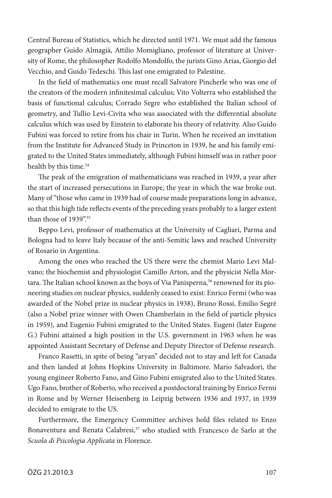Central Bureau of Statistics, which he directed until 1971. We must add the famous geographer Guido Almagià, Attilio Momigliano, professor of literature at University of Rome, the philosopher Rodolfo Mondolfo, the jurists Gino Arias, Giorgio del Vecchio, and Guido Tedeschi. This last one emigrated to Palestine.

In the field of mathematics one must recall Salvatore Pincherle who was one of the creators of the modern infinitesimal calculus; Vito Volterra who established the basis of functional calculus; Corrado Segre who established the Italian school of geometry, and Tullio Levi-Civita who was associated with the differential absolute calculus which was used by Einstein to elaborate his theory of relativity. Also Guido Fubini was forced to retire from his chair in Turin. When he received an invitation from the Institute for Advanced Study in Princeton in 1939, he and his family emigrated to the United States immediately, although Fubini himself was in rather poor health by this time.<sup>34</sup>

The peak of the emigration of mathematicians was reached in 1939, a year after the start of increased persecutions in Europe, the year in which the war broke out. Many of "those who came in 1939 had of course made preparations long in advance, so that this high tide reflects events of the preceding years probably to a larger extent than those of 1939".<sup>35</sup>

Beppo Levi, professor of mathematics at the University of Cagliari, Parma and Bologna had to leave Italy because of the anti-Semitic laws and reached University of Rosario in Argentina.

Among the ones who reached the US there were the chemist Mario Levi Malvano; the biochemist and physiologist Camillo Arton, and the physicist Nella Mortara. The Italian school known as the boys of Via Panisperna,<sup>36</sup> renowned for its pioneering studies on nuclear physics, suddenly ceased to exist: Enrico Fermi (who was awarded of the Nobel prize in nuclear physics in 1938), Bruno Rossi, Emilio Segrè (also a Nobel prize winner with Owen Chamberlain in the field of particle physics in 1959), and Eugenio Fubini emigrated to the United States. Eugeni (later Eugene G.) Fubini attained a high position in the U.S. government in 1963 when he was appointed Assistant Secretary of Defense and Deputy Director of Defense research.

Franco Rasetti, in spite of being "aryan" decided not to stay and left for Canada and then landed at Johns Hopkins University in Baltimore. Mario Salvadori, the young engineer Roberto Fano, and Gino Fubini emigrated also to the United States. Ugo Fano, brother of Roberto, who received a postdoctoral training by Enrico Fermi in Rome and by Werner Heisenberg in Leipzig between 1936 and 1937, in 1939 decided to emigrate to the US.

Furthermore, the Emergency Committee archives hold files related to Enzo Bonaventura and Renata Calabresi,<sup>37</sup> who studied with Francesco de Sarlo at the *Scuola di Psicologia Applicata* in Florence.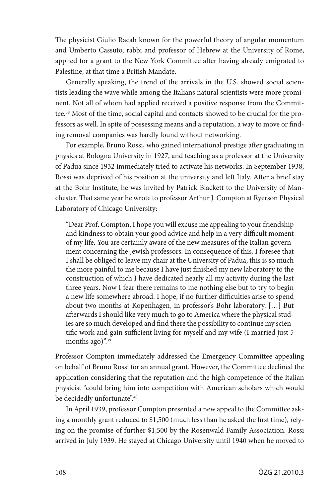The physicist Giulio Racah known for the powerful theory of angular momentum and Umberto Cassuto, rabbi and professor of Hebrew at the University of Rome, applied for a grant to the New York Committee after having already emigrated to Palestine, at that time a British Mandate.

Generally speaking, the trend of the arrivals in the U.S. showed social scientists leading the wave while among the Italians natural scientists were more prominent. Not all of whom had applied received a positive response from the Committee.38 Most of the time, social capital and contacts showed to be crucial for the professors as well. In spite of possessing means and a reputation, a way to move or finding removal companies was hardly found without networking.

For example, Bruno Rossi, who gained international prestige after graduating in physics at Bologna University in 1927, and teaching as a professor at the University of Padua since 1932 immediately tried to activate his networks. In September 1938, Rossi was deprived of his position at the university and left Italy. After a brief stay at the Bohr Institute, he was invited by Patrick Blackett to the University of Manchester. That same year he wrote to professor Arthur J. Compton at Ryerson Physical Laboratory of Chicago University:

"Dear Prof. Compton, I hope you will excuse me appealing to your friendship and kindness to obtain your good advice and help in a very difficult moment of my life. You are certainly aware of the new measures of the Italian government concerning the Jewish professors. In consequence of this, I foresee that I shall be obliged to leave my chair at the University of Padua; this is so much the more painful to me because I have just finished my new laboratory to the construction of which I have dedicated nearly all my activity during the last three years. Now I fear there remains to me nothing else but to try to begin a new life somewhere abroad. I hope, if no further difficulties arise to spend about two months at Kopenhagen, in professor's Bohr laboratory. […] But afterwards I should like very much to go to America where the physical studies are so much developed and find there the possibility to continue my scientific work and gain sufficient living for myself and my wife (I married just 5 months ago)".<sup>39</sup>

Professor Compton immediately addressed the Emergency Committee appealing on behalf of Bruno Rossi for an annual grant. However, the Committee declined the application considering that the reputation and the high competence of the Italian physicist "could bring him into competition with American scholars which would be decidedly unfortunate".<sup>40</sup>

In April 1939, professor Compton presented a new appeal to the Committee asking a monthly grant reduced to \$1,500 (much less than he asked the first time), relying on the promise of further \$1,500 by the Rosenwald Family Association. Rossi arrived in July 1939. He stayed at Chicago University until 1940 when he moved to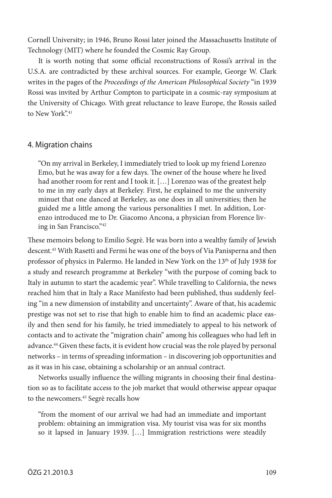Cornell University; in 1946, Bruno Rossi later joined the *M*assachusetts Institute of Technology (MIT) where he founded the Cosmic Ray Group.

It is worth noting that some official reconstructions of Rossi's arrival in the U.S.A. are contradicted by these archival sources. For example, George W. Clark writes in the pages of the *Proceedings of the American Philosophical Society* "in 1939 Rossi was invited by Arthur Compton to participate in a cosmic-ray symposium at the University of Chicago. With great reluctance to leave Europe, the Rossis sailed to New York"<sup>41</sup>

#### 4. Migration chains

"On my arrival in Berkeley, I immediately tried to look up my friend Lorenzo Emo, but he was away for a few days. The owner of the house where he lived had another room for rent and I took it. [...] Lorenzo was of the greatest help to me in my early days at Berkeley. First, he explained to me the university minuet that one danced at Berkeley, as one does in all universities; then he guided me a little among the various personalities I met. In addition, Lorenzo introduced me to Dr. Giacomo Ancona, a physician from Florence living in San Francisco."42

These memoirs belong to Emilio Segrè. He was born into a wealthy family of Jewish descent.43 With Rasetti and Fermi he was one of the boys of Via Panisperna and then professor of physics in Palermo. He landed in New York on the 13<sup>th</sup> of July 1938 for a study and research programme at Berkeley "with the purpose of coming back to Italy in autumn to start the academic year". While travelling to California, the news reached him that in Italy a Race Manifesto had been published, thus suddenly feeling "in a new dimension of instability and uncertainty". Aware of that, his academic prestige was not set to rise that high to enable him to find an academic place easily and then send for his family, he tried immediately to appeal to his network of contacts and to activate the "migration chain" among his colleagues who had left in advance.44 Given these facts, it is evident how crucial was the role played by personal networks – in terms of spreading information – in discovering job opportunities and as it was in his case, obtaining a scholarship or an annual contract.

Networks usually influence the willing migrants in choosing their final destination so as to facilitate access to the job market that would otherwise appear opaque to the newcomers.45 Segrè recalls how

"from the moment of our arrival we had had an immediate and important problem: obtaining an immigration visa. My tourist visa was for six months so it lapsed in January 1939. […] Immigration restrictions were steadily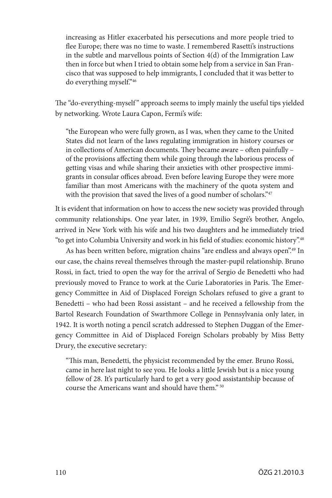increasing as Hitler exacerbated his persecutions and more people tried to flee Europe; there was no time to waste. I remembered Rasetti's instructions in the subtle and marvellous points of Section 4(d) of the Immigration Law then in force but when I tried to obtain some help from a service in San Francisco that was supposed to help immigrants, I concluded that it was better to do everything myself."46

The "do-everything-myself" approach seems to imply mainly the useful tips yielded by networking. Wrote Laura Capon, Fermi's wife:

"the European who were fully grown, as I was, when they came to the United States did not learn of the laws regulating immigration in history courses or in collections of American documents. They became aware – often painfully – of the provisions affecting them while going through the laborious process of getting visas and while sharing their anxieties with other prospective immigrants in consular offices abroad. Even before leaving Europe they were more familiar than most Americans with the machinery of the quota system and with the provision that saved the lives of a good number of scholars."47

It is evident that information on how to access the new society was provided through community relationships. One year later, in 1939, Emilio Segrè's brother, Angelo, arrived in New York with his wife and his two daughters and he immediately tried "to get into Columbia University and work in his field of studies: economic history".48

As has been written before, migration chains "are endless and always open".<sup>49</sup> In our case, the chains reveal themselves through the master-pupil relationship. Bruno Rossi, in fact, tried to open the way for the arrival of Sergio de Benedetti who had previously moved to France to work at the Curie Laboratories in Paris. The Emergency Committee in Aid of Displaced Foreign Scholars refused to give a grant to Benedetti – who had been Rossi assistant – and he received a fellowship from the Bartol Research Foundation of Swarthmore College in Pennsylvania only later, in 1942. It is worth noting a pencil scratch addressed to Stephen Duggan of the Emergency Committee in Aid of Displaced Foreign Scholars probably by Miss Betty Drury, the executive secretary:

"This man, Benedetti, the physicist recommended by the emer. Bruno Rossi, came in here last night to see you. He looks a little Jewish but is a nice young fellow of 28. It's particularly hard to get a very good assistantship because of course the Americans want and should have them." 50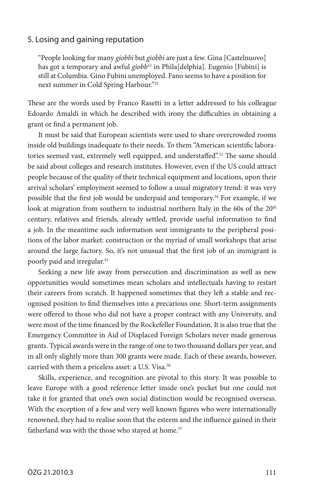#### 5. Losing and gaining reputation

"People looking for many *giobbi* but *giobbi* are just a few. Gina [Castelnuovo] has got a temporary and awful *giobb<sup>51</sup>* in Phila[delphia]. Eugenio [Fubini] is still at Columbia. Gino Fubini unemployed. Fano seems to have a position for next summer in Cold Spring Harbour."52

These are the words used by Franco Rasetti in a letter addressed to his colleague Edoardo Amaldi in which he described with irony the difficulties in obtaining a grant or find a permanent job.

It must be said that European scientists were used to share overcrowded rooms inside old buildings inadequate to their needs. To them "American scientific laboratories seemed vast, extremely well equipped, and understaffed".<sup>53</sup> The same should be said about colleges and research institutes. However, even if the US could attract people because of the quality of their technical equipment and locations, upon their arrival scholars' employment seemed to follow a usual migratory trend: it was very possible that the first job would be underpaid and temporary.54 For example, if we look at migration from southern to industrial northern Italy in the 60s of the  $20<sup>th</sup>$ century, relatives and friends, already settled, provide useful information to find a job. In the meantime such information sent immigrants to the peripheral positions of the labor market: construction or the myriad of small workshops that arise around the large factory. So, it's not unusual that the first job of an immigrant is poorly paid and irregular.55

Seeking a new life away from persecution and discrimination as well as new opportunities would sometimes mean scholars and intellectuals having to restart their careers from scratch. It happened sometimes that they left a stable and recognised position to find themselves into a precarious one. Short-term assignments were offered to those who did not have a proper contract with any University, and were most of the time financed by the Rockefeller Foundation. It is also true that the Emergency Committee in Aid of Displaced Foreign Scholars never made generous grants. Typical awards were in the range of one to two thousand dollars per year, and in all only slightly more than 300 grants were made. Each of these awards, however, carried with them a priceless asset: a U.S. Visa.<sup>56</sup>

Skills, experience, and recognition are pivotal to this story. It was possible to leave Europe with a good reference letter inside one's pocket but one could not take it for granted that one's own social distinction would be recognised overseas. With the exception of a few and very well known figures who were internationally renowned, they had to realise soon that the esteem and the influence gained in their fatherland was with the those who stayed at home.<sup>57</sup>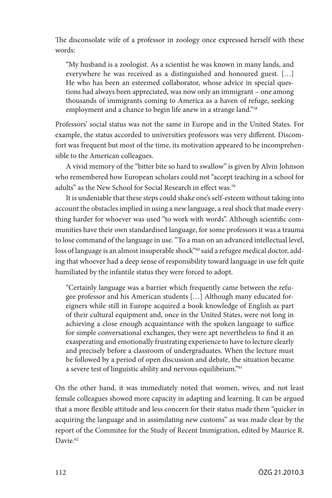The disconsolate wife of a professor in zoology once expressed herself with these words:

"My husband is a zoologist. As a scientist he was known in many lands, and everywhere he was received as a distinguished and honoured guest. […] He who has been an esteemed collaborator, whose advice in special questions had always been appreciated, was now only an immigrant – one among thousands of immigrants coming to America as a haven of refuge, seeking employment and a chance to begin life anew in a strange land."<sup>58</sup>

Professors' social status was not the same in Europe and in the United States. For example, the status accorded to universities professors was very different. Discomfort was frequent but most of the time, its motivation appeared to be incomprehensible to the American colleagues.

A vivid memory of the "bitter bite so hard to swallow" is given by Alvin Johnson who remembered how European scholars could not "accept teaching in a school for adults" as the New School for Social Research in effect was.<sup>59</sup>

It is undeniable that these steps could shake one's self-esteem without taking into account the obstacles implied in using a new language, a real shock that made everything harder for whoever was used "to work with words". Although scientific communities have their own standardised language, for some professors it was a trauma to lose command of the language in use. "To a man on an advanced intellectual level, loss of language is an almost insuperable shock"<sup>60</sup> said a refugee medical doctor, adding that whoever had a deep sense of responsibility toward language in use felt quite humiliated by the infantile status they were forced to adopt.

"Certainly language was a barrier which frequently came between the refugee professor and his American students […] Although many educated foreigners while still in Europe acquired a book knowledge of English as part of their cultural equipment and, once in the United States, were not long in achieving a close enough acquaintance with the spoken language to suffice for simple conversational exchanges, they were apt nevertheless to find it an exasperating and emotionally frustrating experience to have to lecture clearly and precisely before a classroom of undergraduates. When the lecture must be followed by a period of open discussion and debate, the situation became a severe test of linguistic ability and nervous equilibrium."61

On the other hand, it was immediately noted that women, wives, and not least female colleagues showed more capacity in adapting and learning. It can be argued that a more flexible attitude and less concern for their status made them "quicker in acquiring the language and in assimilating new customs" as was made clear by the report of the Commitee for the Study of Recent Immigration, edited by Maurice R. Davie.<sup>62</sup>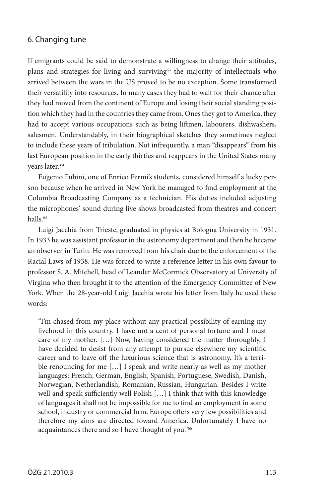#### 6. Changing tune

If emigrants could be said to demonstrate a willingness to change their attitudes, plans and strategies for living and surviving<sup>63</sup> the majority of intellectuals who arrived between the wars in the US proved to be no exception. Some transformed their versatility into resources. In many cases they had to wait for their chance after they had moved from the continent of Europe and losing their social standing position which they had in the countries they came from. Ones they got to America, they had to accept various occupations such as being liftmen, labourers, dishwashers, salesmen. Understandably, in their biographical sketches they sometimes neglect to include these years of tribulation. Not infrequently, a man "disappears" from his last European position in the early thirties and reappears in the United States many years later. 64

Eugenio Fubini, one of Enrico Fermi's students, considered himself a lucky person because when he arrived in New York he managed to find employment at the Columbia Broadcasting Company as a technician. His duties included adjusting the microphones' sound during live shows broadcasted from theatres and concert halls.65

Luigi Jacchia from Trieste, graduated in physics at Bologna University in 1931. In 1933 he was assistant professor in the astronomy department and then he became an observer in Turin. He was removed from his chair due to the enforcement of the Racial Laws of 1938. He was forced to write a reference letter in his own favour to professor S. A. Mitchell, head of Leander McCormick Observatory at University of Virgina who then brought it to the attention of the Emergency Committee of New York. When the 28-year-old Luigi Jacchia wrote his letter from Italy he used these words:

"I'm chased from my place without any practical possibility of earning my livehood in this country. I have not a cent of personal fortune and I must care of my mother. […] Now, having considered the matter thoroughly, I have decided to desist from any attempt to pursue elsewhere my scientific career and to leave off the luxurious science that is astronomy. It's a terrible renouncing for me […] I speak and write nearly as well as my mother languages: French, German, English, Spanish, Portuguese, Swedish, Danish, Norwegian, Netherlandish, Romanian, Russian, Hungarian. Besides I write well and speak sufficiently well Polish […] I think that with this knowledge of languages it shall not be impossible for me to find an employment in some school, industry or commercial firm. Europe offers very few possibilities and therefore my aims are directed toward America. Unfortunately I have no acquaintances there and so I have thought of you."66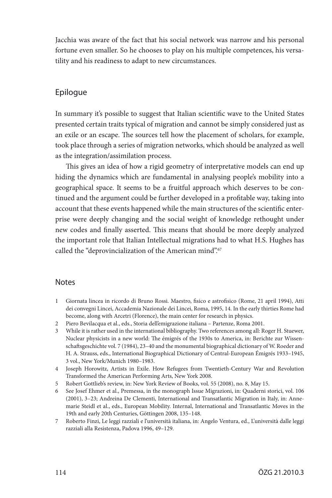Jacchia was aware of the fact that his social network was narrow and his personal fortune even smaller. So he chooses to play on his multiple competences, his versatility and his readiness to adapt to new circumstances.

## Epilogue

In summary it's possible to suggest that Italian scientific wave to the United States presented certain traits typical of migration and cannot be simply considered just as an exile or an escape. The sources tell how the placement of scholars, for example, took place through a series of migration networks, which should be analyzed as well as the integration/assimilation process.

This gives an idea of how a rigid geometry of interpretative models can end up hiding the dynamics which are fundamental in analysing people's mobility into a geographical space. It seems to be a fruitful approach which deserves to be continued and the argument could be further developed in a profitable way, taking into account that these events happened while the main structures of the scientific enterprise were deeply changing and the social weight of knowledge rethought under new codes and finally asserted. This means that should be more deeply analyzed the important role that Italian Intellectual migrations had to what H.S. Hughes has called the "deprovincialization of the American mind".<sup>67</sup>

#### **Notes**

- 1 Giornata lincea in ricordo di Bruno Rossi. Maestro, fisico e astrofisico (Rome, 21 april 1994), Atti dei convegni Lincei, Accademia Nazionale dei Lincei, Roma, 1995, 14. In the early thirties Rome had become, along with Arcetri (Florence), the main center for research in physics.
- 2 Piero Bevilacqua et al., eds., Storia dell'emigrazione italiana Partenze, Roma 2001.
- 3 While it is rather used in the international bibliography. Two references among all: Roger H. Stuewer, Nuclear physicists in a new world: The émigrés of the 1930s to America, in: Berichte zur Wissenschaftsgeschichte vol. 7 (1984), 23–40 and the monumental biographical dictionary of W. Roeder and H. A. Strauss, eds., International Biographical Dictionary of Central-European Émigrés 1933–1945, 3 vol., New York/Munich 1980–1983.
- 4 Joseph Horowitz, Artists in Exile. How Refugees from Twentieth-Century War and Revolution Transformed the American Performing Arts, New York 2008.
- 5 Robert Gottlieb's review, in: New York Review of Books, vol. 55 (2008), no. 8, May 15.
- 6 See Josef Ehmer et al., Premessa, in the monograph Issue Migrazioni, in: Quaderni storici, vol. 106 (2001), 3–23; Andreina De Clementi, International and Transatlantic Migration in Italy, in: Annemarie Steidl et al., eds., European Mobility. Internal, International and Transatlantic Moves in the 19th and early 20th Centuries, Göttingen 2008, 135–148.
- 7 Roberto Finzi, Le leggi razziali e l'università italiana, in: Angelo Ventura, ed., L'università dalle leggi razziali alla Resistenza, Padova 1996, 49–129.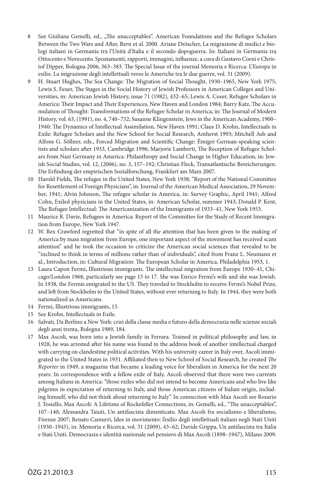- 8 See Giuliana Gemelli, ed., "The unacceptables". American Foundations and the Refugee Scholars Between the Two Wars and After, Bern et al. 2000. Ariane Dröscher, La migrazione di medici e biologi italiani in Germania tra l'Unità d'Italia e il secondo dopoguerra. In: Italiani in Germania tra Ottocento e Novecento. Spostamenti, rapporti, immagini, influenze, a cura di Gustavo Corni e Christof Dipper, Bologna 2006, 363–383. The Special Issue of the journal Memoria e Ricerca: L'Europa in esilio. La migrazione degli intellettuali verso le Americhe tra le due guerre, vol. 31 (2009).
- 9 H. Stuart Hughes, The Sea Change: The Migration of Social Thought, 1930–1965, New York 1975; Lewis S. Feuer, The Stages in the Social History of Jewish Professors in American Colleges and Universities, in: American Jewish History, issue 71 (1982), 432–65; Lewis A. Coser, Refugee Scholars in America: Their Impact and Their Experiences, New Haven and London 1984; Barry Katz, The Accumulation of Thought: Transformations of the Refugee Scholar in America, in: The Journal of Modern History, vol. 63, (1991), no. 4, 740–752; Susanne Klingenstein, Jews in the American Academy, 1900– 1940: The Dynamics of Intellectual Assimilation, New Haven 1991; Claus D. Krohn, Intellectuals in Exile: Refugee Scholars and the New School for Social Research, Amherst 1993; Mitchell Ash and Alfons G. Söllner, eds., Forced Migration and Scientific Change: Émigré German-speaking scientists and scholars after 1933, Cambridge 1996; Marjorie Lamberti, The Reception of Refugee Scholars from Nazi Germany in America: Philanthropy and Social Change in Higher Education, in: Jewish Social Studies, vol. 12, (2006), no. 3, 157–192; Christian Fleck, Transatlantische Bereicherungen. Die Erfindung der empirischen Sozialforschung, Frankfurt am Main 2007.
- 10 Harold Fields, The refugee in the United States, New York 1938; "Report of the National Committee for Resettlement of Foreign Physicians", in: Journal of the American Medical Association, 29 November, 1941; Alvin Johnson, The refugee scholar in America, in: Survey Graphic, April 1941; Alfred Cohn, Exiled physicians in the United States, in: American Scholar, summer 1943; Donald P. Kent, The Refugee Intellectual: The Americanization of the Immigrants of 1933–41, New York 1953.
- 11 Maurice R. Davie, Refugees in America: Report of the Committee for the Study of Recent Immigration from Europe, New York 1947.
- 12 W. Rex Crawford regretted that "in spite of all the attention that has been given to the making of America by mass migration from Europe, one important aspect of the movement has received scant attention" and he took the occasion to criticize the American social sciences that revealed to be "inclined to think in terms of millions rather than of individuals", cited from Franz L. Neumann et al., Introduction, in: Cultural Migration: The European Scholar in America, Philadelphia 1953, 1.
- 13 Laura Capon Fermi, Illustrious immigrants. The intellectual migration from Europe 1930–41, Chicago/London 1968, particularly see page 15 to 17. She was Enrico Fermi's wife and she was Jewish. In 1938, the Fermis emigrated to the US. They traveled to Stockholm to receive Fermi's Nobel Prize, and left from Stockholm to the United States, without ever returning to Italy. In 1944, they were both nationalized as Americans.
- 14 Fermi, Illustrious immigrants, 15.
- 15 See Krohn, Intellectuals in Exile.
- 16 Salvati, Da Berlino a New York: crisi della classe media e futuro della democrazia nelle scienze sociali degli anni trenta, Bologna 1989, 184.
- 17 Max Ascoli, was born into a Jewish family in Ferrara. Trained in political philosophy and law, in 1928, he was arrested after his name was found in the address book of another intellectual charged with carrying on clandestine political activities. With his university career in Italy over, Ascoli immigrated to the United States in 1931. Affiliated then to New School of Social Research, he created *The Reporter* in 1949, a magazine that became a leading voice for liberalism in America for the next 20 years. In correspondence with a fellow exile of Italy, Ascoli observed that there were two currents among Italians in America: "those exiles who did not intend to become Americans and who live like pilgrims in expectation of returning to Italy, and those American citizens of Italian origin, including himself, who did not think about returning to Italy". In connection with Max Ascoli see Rosario J. Tosiello, Max Ascoli: A Lifetime of Rockefeller Connections, in: Gemelli, ed., "The unacceptables", 107–140; Alessandra Taiuti, Un antifascista dimenticato. Max Ascoli fra socialismo e liberalismo, Firenze 2007; Renato Camurri, Idee in movimento: l'esilio degli intellettuali italiani negli Stati Uniti (1930–1945), in: Memoria e Ricerca, vol. 31 (2009), 43–62; Davide Grippa, Un antifascista tra Italia e Stati Uniti. Democrazia e identità nazionale nel pensiero di Max Ascoli (1898–1947), Milano 2009.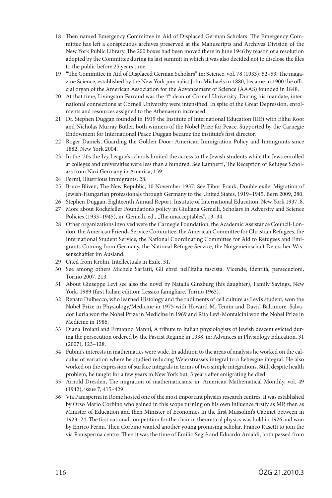- 18 Then named Emergency Committee in Aid of Displaced German Scholars. The Emergency Committee has left a conspicuous archives preserved at the Manuscripts and Archives Division of the New York Public Library. The 200 boxes had been moved there in June 1946 by reason of a resolution adopted by the Committee during its last summit in which it was also decided not to disclose the files to the public before 25 years time.
- 19 "The Committee in Aid of Displaced German Scholars", in: Science, vol. 78 (1933), 52–53. The magazine Science, established by the New York journalist John Michaels in 1880, became in 1900 the official organ of the American Association for the Advancement of Science (AAAS) founded in 1848.
- 20 At that time, Livingston Farrand was the 4<sup>th</sup> dean of Cornell University. During his mandate, international connections at Cornell University were intensified. In spite of the Great Depression, enrolments and resources assigned to the Athenaeum increased.
- 21 Dr. Stephen Duggan founded in 1919 the Institute of International Education (IIE) with Elihu Root and Nicholas Murray Butler, both winners of the Nobel Prize for Peace. Supported by the Carnegie Endowment for International Peace Duggan became the institute's first director.
- 22 Roger Daniels, Guarding the Golden Door: American Immigration Policy and Immigrants since 1882, New York 2004.
- 23 In the '20s the Ivy League's schools limited the access to the Jewish students while the Jews enrolled at colleges and universities were less than a hundred. See Lamberti, The Reception of Refugee Scholars from Nazi Germany in America, 159.
- 24 Fermi, Illustrious immigrants, 28.
- 25 Bruce Bliven, The New Republic, 10 November 1937. See Tibor Frank, Double exile. Migration of Jewish-Hungarian professionals through Germany to the United States, 1919–1945, Bern 2009, 280.
- 26 Stephen Duggan, Eighteenth Annual Report, Institute of International Education, New York 1937, 8.
- 27 More about Rockefeller Foundation's policy in Giuliana Gemelli, Scholars in Adversity and Science Policies (1933-1945), in: Gemelli, ed., "The unacceptables", 13-34.
- 28 Other organizations involved were the Carnegie Foundation, the Academic Assistance Council-London, the American Friends Service Committee, the American Committee for Christian Refugees, the International Student Service, the National Coordinating Committee for Aid to Refugees and Emigrants Coming from Germany, the National Refugee Service, the Notgemeinschaft Deutscher Wissenschaftler im Ausland.
- 29 Cited from Krohn, Intellectuals in Exile, 31.
- 30 See among others Michele Sarfatti, Gli ebrei nell'Italia fascista. Vicende, identità, persecuzioni, Torino 2007, 213.
- 31 About Giuseppe Levi see also the novel by Natalia Ginzburg (his daughter), Family Sayings, New York, 1989 (first Italian edition: Lessico famigliare, Torino 1963).
- 32 Renato Dulbecco, who learned Histology and the rudiments of cell culture as Levi's student, won the Nobel Prize in Physiology/Medicine in 1975 with Howard M. Temin and David Baltimore. Salvador Luria won the Nobel Prize in Medicine in 1969 and Rita Levi-Montalcini won the Nobel Prize in Medicine in 1986.
- 33 Diana Troiani and Ermanno Manni, A tribute to Italian physiologists of Jewish descent evicted during the persecution ordered by the Fascist Regime in 1938, in: Advances in Physiology Education, 31 (2007), 123–128.
- 34 Fubini's interests in mathematics were wide. In addition to the areas of analysis he worked on the calculus of variation where he studied reducing Weierstrasse's integral to a Lebesgue integral. He also worked on the expression of surface integrals in terms of two simple integrations. Still, despite health problem, he taught for a few years in New York but, 5 years after emigrating he died.
- 35 Arnold Dresden, The migration of mathematicians, in: American Mathematical Monthly, vol. 49 (1942), issue 7, 415–429.
- 36 Via Panisperna in Rome hosted one of the most important physics research centres. It was established by Orso Mario Corbino who gained in this scope turning on his own influence firstly as MP, then as Minister of Education and then Minister of Economics in the first Mussolini's Cabinet between in 1923–24. The first national competition for the chair in theoretical physics was hold in 1926 and won by Enrico Fermi. Then Corbino wanted another young promising scholar, Franco Rasetti to join the via Panisperma centre. Then it was the time of Emilio Segrè and Edoardo Amaldi, both passed from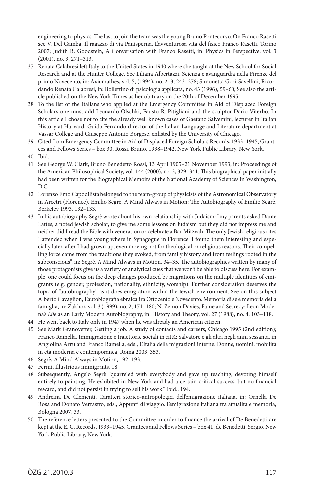engineering to physics. The last to join the team was the young Bruno Pontecorvo. On Franco Rasetti see V. Del Gamba, Il ragazzo di via Panisperna. L'avventurosa vita del fisico Franco Rasetti, Torino 2007; Judith R. Goodstein, A Conversation with Franco Rasetti, in: Physics in Perspective, vol. 3 (2001), no. 3, 271–313.

- 37 Renata Calabresi left Italy to the United States in 1940 where she taught at the New School for Social Research and at the Hunter College. See Liliana Albertazzi, Scienza e avanguardia nella Firenze del primo Novecento, in: Axiomathes, vol. 5, (1994), no. 2–3, 243–278; Simonetta Gori-Savellini, Ricordando Renata Calabresi, in: Bollettino di psicologia applicata, no. 43 (1996), 59–60; See also the article published on the New York Times as her obituary on the 20th of December 1995.
- 38 To the list of the Italians who applied at the Emergency Committee in Aid of Displaced Foreign Scholars one must add Leonardo Olschki, Fausto R. Pitigliani and the sculptor Dario Viterbo. In this article I chose not to cite the already well known cases of Gaetano Salvemini, lecturer in Italian History at Harvard; Guido Ferrando director of the Italian Language and Literature department at Vassar College and Giuseppe Antonio Borgese, enlisted by the University of Chicago.
- 39 Cited from Emergency Committee in Aid of Displaced Foreign Scholars Records, 1933–1945, Grantees and Fellows Series – box 30, Rossi, Bruno, 1938–1942, New York Public Library, New York.
- 40 Ibid.
- 41 See George W. Clark, Bruno Benedetto Rossi, 13 April 1905–21 November 1993, in: Proceedings of the American Philosophical Society, vol. 144 (2000), no. 3, 329–341. This biographical paper initially had been written for the Biographical Memoirs of the National Academy of Sciences in Washington, D.C.
- 42 Lorenzo Emo Capodilista belonged to the team-group of physicists of the Astronomical Observatory in Arcetri (Florence). Emilio Segrè, A Mind Always in Motion: The Autobiography of Emilio Segrè, Berkeley 1993, 132–133.
- 43 In his autobiography Segrè wrote about his own relationship with Judaism: "my parents asked Dante Lattes, a noted jewish scholar, to give me some lessons on Judaism but they did not impress me and neither did I read the Bible with veneration or celebrate a Bar Mitzvah. The only Jewish religious rites I attended when I was young where in Synagogue in Florence. I found them interesting and especially later, after I had grown up, even moving not for theological or religious reasons. Their compelling force came from the traditions they evoked, from family history and from feelings rooted in the subconscious", in: Segrè, A Mind Always in Motion, 34–35. The autobiographies written by many of those protagonists give us a variety of analytical cues that we won't be able to discuss here. For example, one could focus on the deep changes produced by migrations on the multiple identities of emigrants (e.g. gender, profession, nationality, ethnicity, worship). Further consideration deserves the topic of "autobiography" as it does emigration within the Jewish environment. See on this subject Alberto Cavaglion, L'autobiografia ebraica fra Ottocento e Novecento. Memoria di sé e memoria della famiglia, in: Zakhor, vol. 3 (1999), no. 2, 171–180; N. Zemon Davies, Fame and Secrecy: Leon Modena's *Life* as an Early Modern Autobiography, in: History and Theory, vol. 27 (1988), no. 4, 103–118.
- 44 He went back to Italy only in 1947 when he was already an American citizen.
- 45 See Mark Granovetter, Getting a job. A study of contacts and careers, Chicago 1995 (2nd edition); Franco Ramella, Immigrazione e traiettorie sociali in città: Salvatore e gli altri negli anni sessanta, in Angiolina Arru and Franco Ramella, eds., L'Italia delle migrazioni interne. Donne, uomini, mobilità in età moderna e contemporanea, Roma 2003, 353.
- 46 Segrè, A Mind Always in Motion, 192–193.
- 47 Fermi, Illustrious immigrants, 18
- 48 Subsequently, Angelo Segrè "quarreled with everybody and gave up teaching, devoting himself entirely to painting. He exhibited in New York and had a certain critical success, but no financial reward, and did not persist in trying to sell his work." Ibid., 194.
- 49 Andreina De Clementi, Caratteri storico-antropologici dell'emigrazione italiana, in: Ornella De Rosa and Donato Verrastro, eds., Appunti di viaggio. L'emigrazione italiana tra attualità e memoria, Bologna 2007, 33.
- 50 The reference letters presented to the Committee in order to finance the arrival of De Benedetti are kept at the E. C. Records, 1933–1945, Grantees and Fellows Series – box 41, de Benedetti, Sergio, New York Public Library, New York.